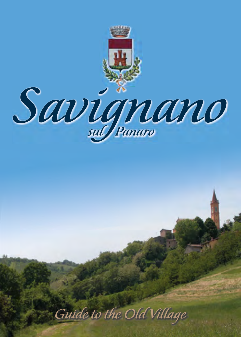

*Guide to the Old Village*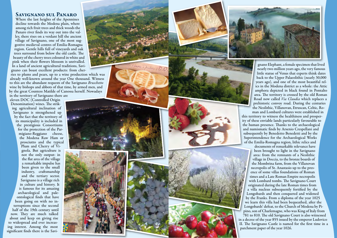# Savignano sul Panaro

Where the last heights of the Apennines decline towards the Modena plain, where among rich fruit trees and thick woods the Panaro river finds its way out into the valley, there rises on a verdant hill the ancient village of Savignano, one of the most suggestive medieval centres of Emilia-Romagna region. Gentle hills full of vineyards and oak trees surround from below the old castle. The beauty of the cherry trees coloured in white and pink when their flowers blossom is unrivalled. In a land of ancient agricultural traditions, Savignano can boast excellent products: from cher-

ries to plums and pears, up to a wine production which was already well-known around the year One thousand. Witness to this are the abundant requests of the Savignano *Bruschetto* wine by bishops and abbots of that time, by armed men, and by the great Countess Matilde of Canossa herself. Nowadays in the territory of Savignano there are

eleven DOC (Controlled Origin Denomination) wines. The striking agricultural inclination of Savignano is strengthened up by the fact that the territory of its municipality is included in the prestigious Consortiums for the protection of the Parmigiano-Reggiano cheese, the Modena Raw Ham or prosciutto and the typical Plum and Cherry of Vignola. But agriculture is not the only output: in the flat area of the village a remarkable impulse has been given to the small industry, craftsmanship and the tertiary sector. Savignano is a village rich in culture and history. It is famous for its amazing archaeological and paleontological finds that have been going on with no interruptions since the second half of the 19th century until now. They are much talked about and keep on giving rise to widespread and ever increasing interest. Among the most significant finds there is the Savi-



gnano Elephant, a female specimen that lived nearly two million years ago, the very famous little statue of Venus that experts think dates back to the Upper Palaeolithic (nearly 30,000 years ago), and one of the most beautiful relics in the Modena district as a whole: the Attic amphora depicted in black found in Pontalto area. The territory is crossed by the old Roman Road now called *Via Claudia* which replaces a prehistoric convoy road. During the centuries the Neolithic, Villanovan, Etruscan, Celtic, Ro-

man and Lombard cultures were established in this territory to witness the healthiness and prosperity of these enviable lands particularly favourable to the human presence. Thanks to the archaeological and numismatic finds by Arsenio Crespellani and subsequently by Benedetto Benedetti and by the Superintendence for the Archaeological Works of the Emilia-Romagna region, lithic relics and

documents of remarkable relevance have been brought to light in the Savignano area: from the remnants of a Neolithic village in Doccia, to the bronze boards of the Mombrina farm, from the Villanovan necropolis of St. Anastasio up to the presence of some villas foundations of Roman times and a Late Roman Empire necropolis with Lombard tombs. The Savignano Court originated during the late Roman times from

a villa nucleus subsequently fortified by the Longobards and then conquered and widened by the Franks. From a diploma of the year 1025 we learn this villa had been bequeathed, after the Longobards' defeat, to the Church of Modena by Pipino, son of Charlemagne, who was King of Italy from

781 to 810. The old Savignano Court is also witnessed in a decree of the year 855 issued by the emperor Ludovico II. The Savignano Castle is named for the first time in a parchment paper of the year 1026.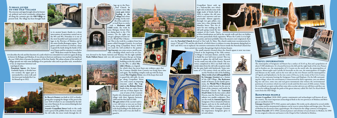lage up to the Parochial Church. In ancient times the main gate tower leading to the village had a draw bridge. In the middle of the castle tower itself there is a niche

with a Madonna with Child inside, the work by some Bologna School Master dating back to the 17th century. On the right you can get a glimpse of some relics of a World War I Memo-

rial. This is the work by a sculptor from Savignano called Giuseppe Graziosi. As you keep on going along Crespellani Street, before you reach the well ascribed to the painter Ugo Lucerni, you come across a small recess with a dwelling which used to be an Ora-

tory devoted to the Saints Antonio and Thomas. On the right unfolds Paolo Pallotti Street with very old restored houses that go on lining

 $\epsilon$  the old defensive walls. The building on the left, rebuilt in the 80's, is called Matilde's House, as a legend,

for which there has never been any evidence, goes that the Countess Matilde from Canossa was living there time and again. The building complex ends up with the keep named The Chaplain Tower, one of the keeps that used

Family who dominated and ruled the village with their Signoria between  $1400$  and the first half of 1500. The gate tower of the second vault is

to guard the old walls. As you go along Crespellani Street you come across an imposing structure called The Captain's or the Bishop's House. Inside there are some frescos and one of them depicts the coat of arms of the Contrari

a very old tower as you can see from the river pebbles it was built with. It is the keep leading to the darkest part of the Castle and it was also built to guard it.









## A small guide to the Old Village

The structure and signs brought about by historical, political and social vicissitudes taking place all along the centuries give the Old Village its  $\frac{1}{2}$  present look. The village has been brought back





to its ancient beauty thanks to a clever intervention of restoration carried out in the 80's and 90's. Nowadays it is one of the most beautiful and representative villages in the Province of Modena and of the entire Emilia-Romagna region. "Savignano castle was born as a fortress, a keep to guard the lands along the banks of the river Panaro and for centuries it worked as such". With these words Sir Franco Man-

The small cemetery located where the church square is now was transferred at the beginning of the 19th century

tovi describes the role and the function of a castle which was contended over and over again all along its history by Bologna and Modena. It was always in between until peace was reached starting from the year 1360 when it became the property of the Este Family. The urban scheme of the medieval village spreads out with some buildings of no particular value and no peculiar style, nonetheless

it has an important historical and typological value.

Zanantoni Square, the former Garibaldi Square, is divided into two sections: the upper part is surrounded by a stone wall, and the lower part included the Castle Mound up to 1922.



St. Rocco's Oratory was built in 1631 as thanksgiving after escaping the danger of the pest in the year 1630 of which we are reminded by the Italian writer Manzoni. It was restored during the last century in the 70's.

Arsenio Crespellani Street leads to the castle and is paved with pebbles from the river; inside the old walls, the street winds through the vil-

The municipality of Savignano sul Panaro has a surface of 25.45 sq. Km and a population of about 9,500 inhabitants. It is located between the hill and the right bank of the river Panaro and its borders are: the municipality of S. Cesario on the north side, the municipalities of Bazzano, Monteveglio and Castello di Serravalle on the east, the municipalities of Guiglia and Marano on the south, and on the west side are the river Panaro and the municipalities of Vignola and Spilamberto. In the tiny centre of Doccia, in the rooms of the Civic Centre, there are two museums hosting the Savignano Venus and Elephant. On the hills surrounding the village, where the environment is characterised by thick vegetation, you can admire big size oak trees, some true and real green monuments that witness the environmental patrimony of a territory which was rich in woods until the first years of 20th century. Today the woodlands are quite reduced but some ultra-secular oak trees are still there and they can be seen by walking through the paths of the green itinerary called *The Oak Tree Road* which starts from the Old Village.

Crespellani Street ends up in a balcony-like area whose right side overlooks some wide steps made of bricks built in 1894 to replace the old ones which were narrower and not practicable. Almost opposite, through two gate pillars, you come into a lane joining with Mandria Street. This was almost for sure making up the old path going round the last rampart of the Castle. Traces



est point, and most probably where the ancient court originated, there rises the Parochial Church devoted to Our Lady St. Mary. The church underwent reconstruction between 1746 and 1750, and the old church, of which there is evidence in some documents dating back to 1027 and 1033, was so replaced. An extensive restoration of the frescos inside the Parochial Church has

been carried out recently, thus giving it back its former beauty.



to Borgo S. Giovanni district, and the works to build the new bell tower started. This was meant to replace the old bell tower situated on the south-east side of the church. The new tower, completed in 1813, was built with materials taken from the old walls exception made for the spire built with brickwork. Some remnants of a 17th century clock can still be seen

on the Northern side of the building. Three works of art still unpublished by Giuseppe Graziosi are a feature of the Old Village: The Redeemer made of bronze on his family gravestone, the World War I Memorial which is today located in the area in front of the cemetery, and inside the Parochial Church the Lamented Dead Christ. In the tiny centre called Doccia, near the Town Hall, you can admire two marble sculptures. They are the work by Antonio Sgroi from Savignano. One is situated in Falcone Square, and one in the small park in Gramsci Alley to witness, as an ideal continuity with Giuseppe Graziosi, the importance Savignano gives to art and culture.







# Useful information

## Renowned people

Arsenio Crespellani (1828-1900), patriot, numismatist and archaeologist well known all over the country. The most important archaeological finds in the two provinces of Modena and Bologna are ascribed to him.

Giuseppe Graziosi (1879-1942), painter and sculptor. His works can be admired in several exhibition rooms and his monumental sculptures can be seen in various Italian and foreign cities. The town of Modena has devoted to him a gypsotheque. He is buried in the village cemetery of Savignano. Evaristo Pancaldi (1872-1950) canonical pioneer and reformer of sacred music in Modena. In 1900 he was assigned as director and master to the Chapel of the Cathedral in Modena.